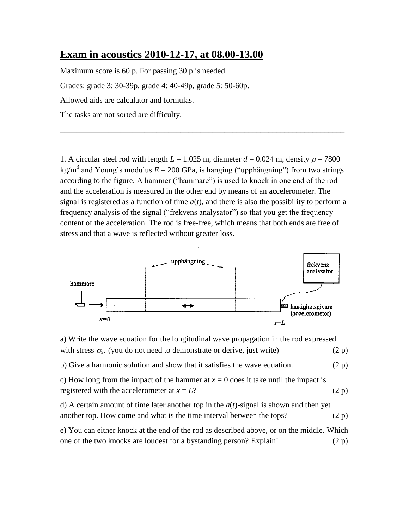## **Exam in acoustics 2010-12-17, at 08.00-13.00**

Maximum score is 60 p. For passing 30 p is needed. Grades: grade 3: 30-39p, grade 4: 40-49p, grade 5: 50-60p. Allowed aids are calculator and formulas. The tasks are not sorted are difficulty.

1. A circular steel rod with length  $L = 1.025$  m, diameter  $d = 0.024$  m, density  $\rho = 7800$ kg/m<sup>3</sup> and Young's modulus  $E = 200$  GPa, is hanging ("upphängning") from two strings according to the figure. A hammer ("hammare") is used to knock in one end of the rod and the acceleration is measured in the other end by means of an accelerometer. The signal is registered as a function of time  $a(t)$ , and there is also the possibility to perform a frequency analysis of the signal ("frekvens analysator") so that you get the frequency content of the acceleration. The rod is free-free, which means that both ends are free of stress and that a wave is reflected without greater loss.

\_\_\_\_\_\_\_\_\_\_\_\_\_\_\_\_\_\_\_\_\_\_\_\_\_\_\_\_\_\_\_\_\_\_\_\_\_\_\_\_\_\_\_\_\_\_\_\_\_\_\_\_\_\_\_\_\_\_\_\_\_\_\_\_\_\_\_\_\_\_\_



a) Write the wave equation for the longitudinal wave propagation in the rod expressed with stress  $\sigma_x$ . (you do not need to demonstrate or derive, just write) (2 p) b) Give a harmonic solution and show that it satisfies the wave equation.  $(2 p)$ c) How long from the impact of the hammer at  $x = 0$  does it take until the impact is registered with the accelerometer at  $x = L$ ? (2 p) d) A certain amount of time later another top in the *a*(*t*)-signal is shown and then yet another top. How come and what is the time interval between the tops?  $(2 p)$ e) You can either knock at the end of the rod as described above, or on the middle. Which one of the two knocks are loudest for a bystanding person? Explain!  $(2 p)$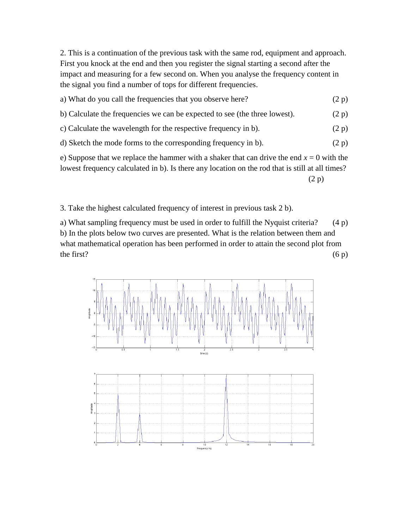2. This is a continuation of the previous task with the same rod, equipment and approach. First you knock at the end and then you register the signal starting a second after the impact and measuring for a few second on. When you analyse the frequency content in the signal you find a number of tops for different frequencies.

| a) What do you call the frequencies that you observe here?                 | (2 p) |  |  |
|----------------------------------------------------------------------------|-------|--|--|
| b) Calculate the frequencies we can be expected to see (the three lowest). | (2 p) |  |  |
| c) Calculate the wavelength for the respective frequency in b).            | (2 p) |  |  |
| d) Sketch the mode forms to the corresponding frequency in b).             |       |  |  |
|                                                                            |       |  |  |

e) Suppose that we replace the hammer with a shaker that can drive the end  $x = 0$  with the lowest frequency calculated in b). Is there any location on the rod that is still at all times?

(2 p)

3. Take the highest calculated frequency of interest in previous task 2 b).

a) What sampling frequency must be used in order to fulfill the Nyquist criteria? (4 p) b) In the plots below two curves are presented. What is the relation between them and what mathematical operation has been performed in order to attain the second plot from the first?  $(6 \text{ p})$